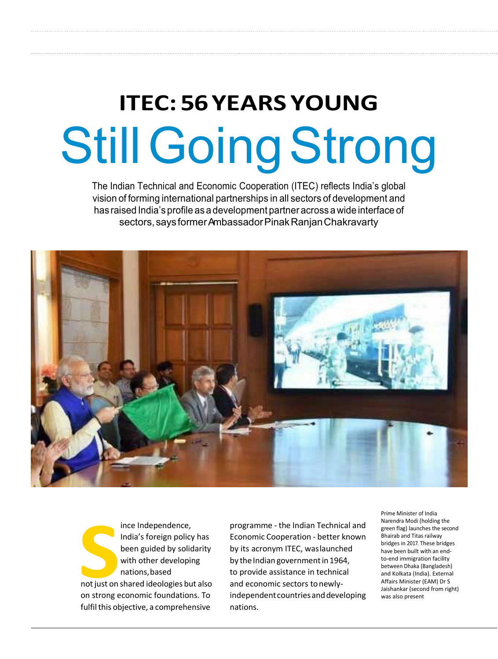# **ITEC: 56 YEARS YOUNG** Still Going Strong

The Indian Technical and Economic Cooperation (ITEC) reflects India's global vision of forming international partnerships in all sectors of development and has raised India's profile as a development partner across a wide interface of sectors, says former Ambassador Pinak Ranjan Chakravarty





programme - the Indian Technical and Economic Cooperation - better known by its acronym ITEC, was launched by the Indian government in 1964, to provide assistance in technical and economic sectors to newlyindependent countries and developing nations.

Prime Minister of India Narendra Modi (holding the green flag) launches the second Bhairab and Titas railway bridges in 2017. These bridges have been built with an endto-end immigration facility between Dhaka (Bangladesh) and Kolkata (India). External Affairs Minister (EAM) Dr S Jaishankar (second from right) was also present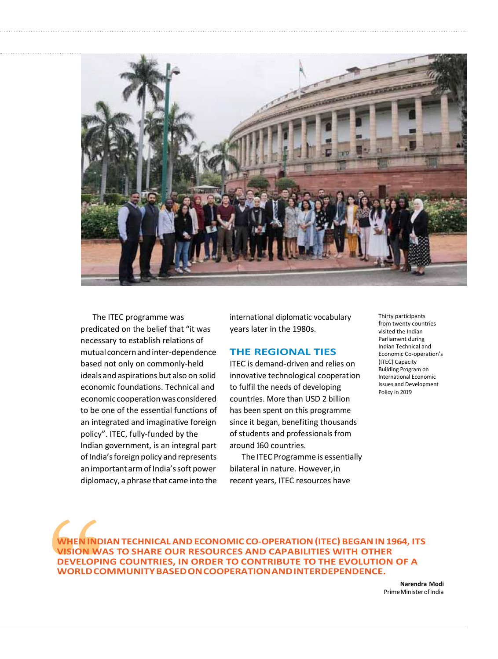

The ITEC programme was predicated on the belief that "it was necessary to establish relations of mutual concern and inter-dependence based not only on commonly-held ideals and aspirations but also on solid economic foundations. Technical and economic cooperation was considered to be one of the essential functions of an integrated and imaginative foreign policy". ITEC, fully-funded by the Indian government, is an integral part of India's foreign policy and represents an important arm of India's soft power diplomacy, a phrase that came into the international diplomatic vocabulary years later in the 1980s.

### **THE REGIONAL TIES**

ITEC is demand-driven and relies on innovative technological cooperation to fulfil the needs of developing countries. More than USD 2 billion has been spent on this programme since it began, benefiting thousands of students and professionals from around 160 countries.

The ITEC Programme is essentially bilateral in nature. However, in recent years, ITEC resources have

Thirty participants from twenty countries visited the Indian Parliament during Indian Technical and Economic Co-operation's (ITEC) Capacity Building Program on International Economic Issues and Development Policy in 2019

**WHEN INDIAN TECHNICAL AND ECONOMIC CO-OPERATION (ITEC) BEGAN IN 1964, ITS VISION WAS TO SHARE OUR RESOURCES AND CAPABILITIES WITH OTHER DEVELOPING COUNTRIES, IN ORDER TO CONTRIBUTE TO THE EVOLUTION OF A WORLD COMMUNITY BASED ON COOPERATION AND INTERDEPENDENCE.**

> **Narendra Modi**  Prime Minister of India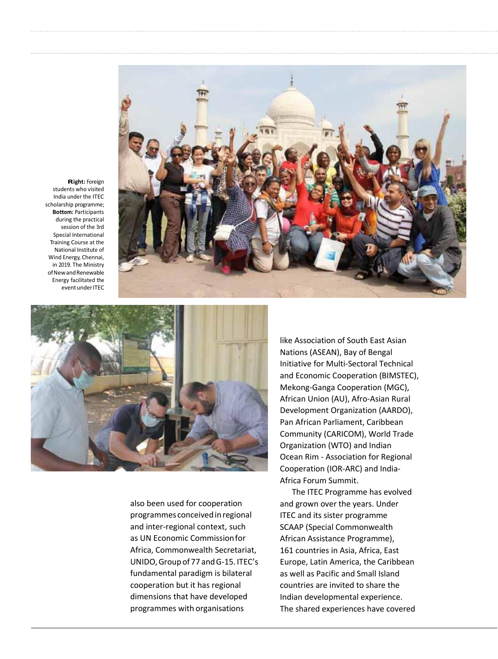





also been used for cooperation programmes conceived in regional and inter-regional context, such as UN Economic Commission for Africa, Commonwealth Secretariat, UNIDO, Group of 77 and G-15. ITEC's fundamental paradigm is bilateral cooperation but it has regional dimensions that have developed programmes with organisations

like Association of South East Asian Nations (ASEAN), Bay of Bengal Initiative for Multi-Sectoral Technical and Economic Cooperation (BIMSTEC), Mekong-Ganga Cooperation (MGC), African Union (AU), Afro-Asian Rural Development Organization (AARDO), Pan African Parliament, Caribbean Community (CARICOM), World Trade Organization (WTO) and Indian Ocean Rim - Association for Regional Cooperation (IOR-ARC) and India-Africa Forum Summit.

The ITEC Programme has evolved and grown over the years. Under ITEC and its sister programme SCAAP (Special Commonwealth African Assistance Programme), 161 countries in Asia, Africa, East Europe, Latin America, the Caribbean as well as Pacific and Small Island countries are invited to share the Indian developmental experience. The shared experiences have covered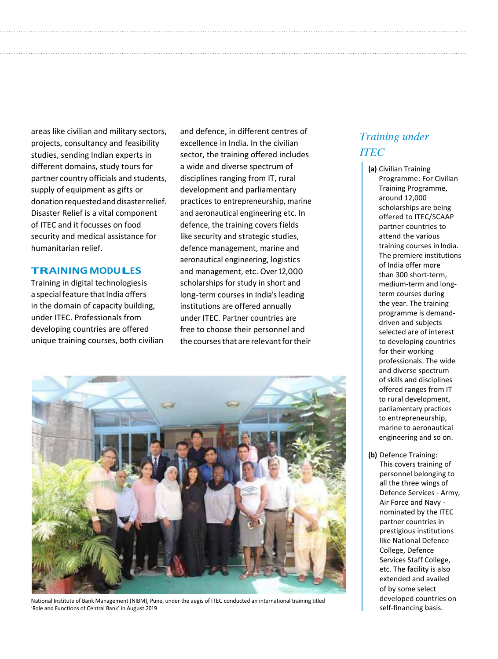areas like civilian and military sectors, projects, consultancy and feasibility studies, sending Indian experts in different domains, study tours for partner country officials and students, supply of equipment as gifts or donation requested and disaster relief. Disaster Relief is a vital component of ITEC and it focusses on food security and medical assistance for humanitarian relief.

### **TRAININGMODULES**

Training in digital technologies is a special feature that India offers in the domain of capacity building, under ITEC. Professionals from developing countries are offered unique training courses, both civilian

and defence, in different centres of excellence in India. In the civilian sector, the training offered includes a wide and diverse spectrum of disciplines ranging from IT, rural development and parliamentary practices to entrepreneurship, marine and aeronautical engineering etc. In defence, the training covers fields like security and strategic studies, defence management, marine and aeronautical engineering, logistics and management, etc. Over 12,000 scholarships for study in short and long-term courses in India's leading institutions are offered annually under ITEC. Partner countries are free to choose their personnel and the courses that are relevant for their



National Institute of Bank Management (NIBM), Pune, under the aegis of ITEC conducted an international training titled 'Role and Functions of Central Bank' in August 2019

## *Training under ITEC*

**(a)** Civilian Training Programme: For Civilian Training Programme, around 12,000 scholarships are being offered to ITEC/SCAAP partner countries to attend the various training courses in India. The premiere institutions of India offer more than 300 short-term, medium-term and longterm courses during the year. The training programme is demanddriven and subjects selected are of interest to developing countries for their working professionals. The wide and diverse spectrum of skills and disciplines offered ranges from IT to rural development, parliamentary practices to entrepreneurship, marine to aeronautical engineering and so on.

**(b)** Defence Training: This covers training of personnel belonging to all the three wings of Defence Services - Army, Air Force and Navy nominated by the ITEC partner countries in prestigious institutions like National Defence College, Defence Services Staff College, etc. The facility is also extended and availed of by some select developed countries on self-financing basis.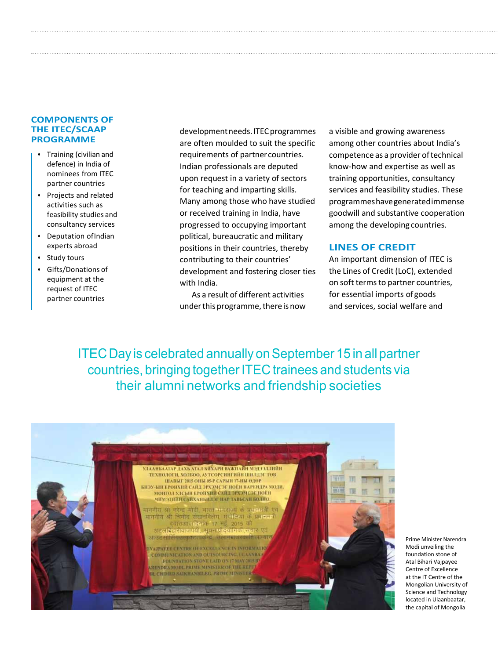## **COMPONENTS OF THE ITEC/SCAAP PROGRAMME**

- Training (civilian and defence) in India of nominees from ITEC partner countries
- Projects and related activities such as feasibility studies and consultancy services
- Deputation of Indian experts abroad
- Study tours
- Gifts/Donations of equipment at the request of ITEC partner countries

development needs. ITEC programmes are often moulded to suit the specific requirements of partner countries. Indian professionals are deputed upon request in a variety of sectors for teaching and imparting skills. Many among those who have studied or received training in India, have progressed to occupying important political, bureaucratic and military positions in their countries, thereby contributing to their countries' development and fostering closer ties with India.

As a result of different activities under this programme, there is now

a visible and growing awareness among other countries about India's competence as a provider of technical know-how and expertise as well as training opportunities, consultancy services and feasibility studies. These programmes have generated immense goodwill and substantive cooperation among the developing countries.

## **LINES OF CREDIT**

An important dimension of ITEC is the Lines of Credit (LoC), extended on soft terms to partner countries, for essential imports of goods and services, social welfare and

ITEC Day is celebrated annually on September 15 in all partner countries, bringing together ITEC trainees and students via their alumni networks and friendship societies



Prime Minister Narendra Modi unveiling the foundation stone of Atal Bihari Vajpayee Centre of Excellence at the IT Centre of the Mongolian University of Science and Technology located in Ulaanbaatar, the capital of Mongolia